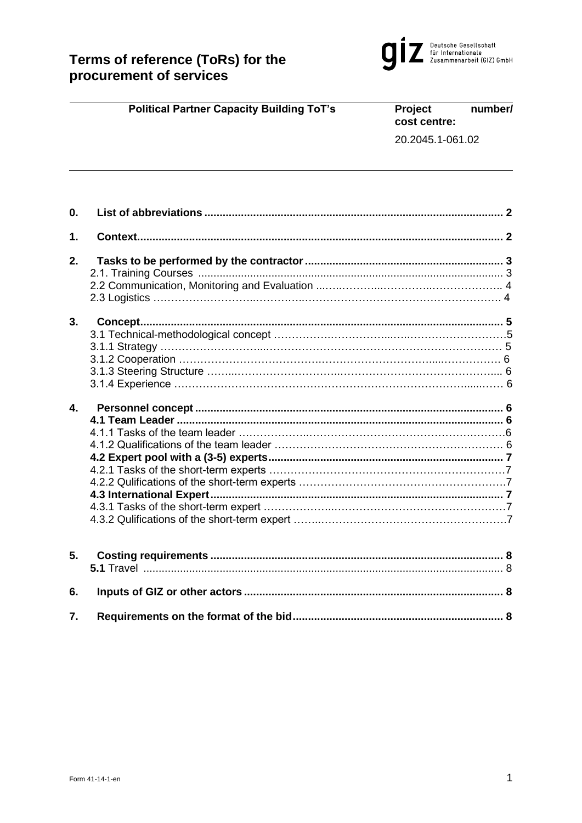

|    | <b>Political Partner Capacity Building ToT's</b> | Project<br>cost centre: | number/ |
|----|--------------------------------------------------|-------------------------|---------|
|    |                                                  | 20.2045.1-061.02        |         |
|    |                                                  |                         |         |
| 0. |                                                  |                         |         |
| 1. |                                                  |                         |         |
| 2. |                                                  |                         |         |
|    |                                                  |                         |         |
|    |                                                  |                         |         |
|    |                                                  |                         |         |
| 3. |                                                  |                         |         |
|    |                                                  |                         |         |
|    |                                                  |                         |         |
|    |                                                  |                         |         |
|    |                                                  |                         |         |
|    |                                                  |                         |         |
| 4. |                                                  |                         |         |
|    |                                                  |                         |         |
|    |                                                  |                         |         |
|    |                                                  |                         |         |
|    |                                                  |                         |         |
|    |                                                  |                         |         |
|    |                                                  |                         |         |
|    |                                                  |                         |         |
|    |                                                  |                         |         |
|    |                                                  |                         |         |
| 5. |                                                  |                         |         |
|    |                                                  |                         |         |
| 6. |                                                  |                         |         |

**7. [Requirements on the format of the bid.....................................................................](#page-7-2) 8**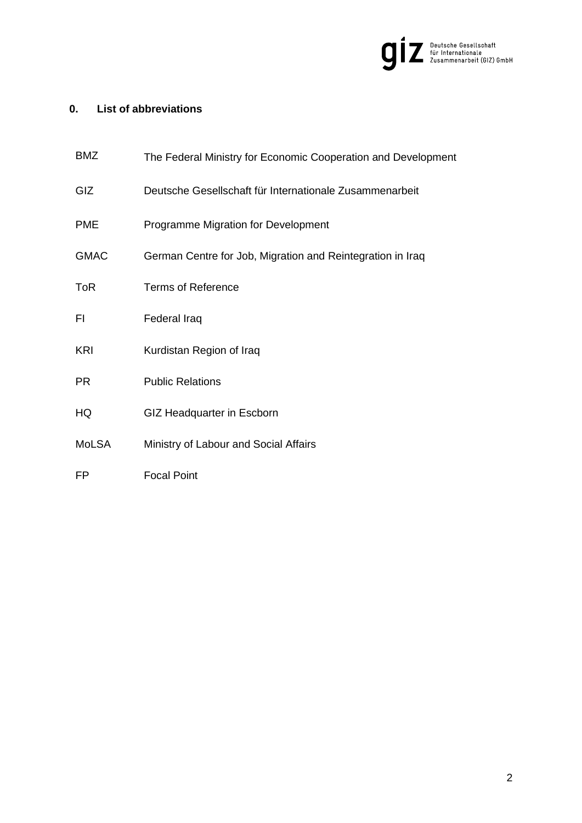

# <span id="page-1-0"></span>**0. List of abbreviations**

<span id="page-1-1"></span>

| <b>BMZ</b>   | The Federal Ministry for Economic Cooperation and Development |
|--------------|---------------------------------------------------------------|
| GIZ          | Deutsche Gesellschaft für Internationale Zusammenarbeit       |
| <b>PME</b>   | Programme Migration for Development                           |
| <b>GMAC</b>  | German Centre for Job, Migration and Reintegration in Iraq    |
| <b>ToR</b>   | <b>Terms of Reference</b>                                     |
| FI.          | Federal Iraq                                                  |
| <b>KRI</b>   | Kurdistan Region of Iraq                                      |
| <b>PR</b>    | <b>Public Relations</b>                                       |
| HQ           | GIZ Headquarter in Escborn                                    |
| <b>MoLSA</b> | Ministry of Labour and Social Affairs                         |
| FP           | <b>Focal Point</b>                                            |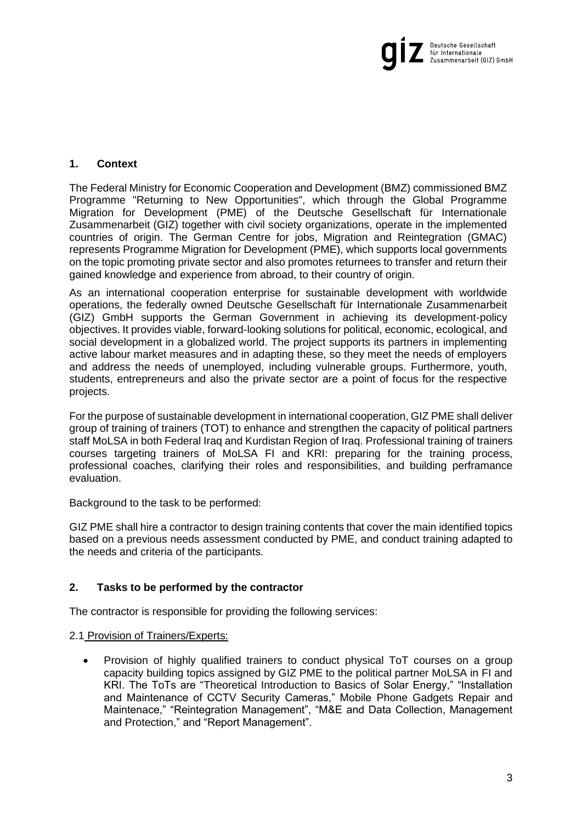

# **1. Context**

The Federal Ministry for Economic Cooperation and Development (BMZ) commissioned BMZ Programme "Returning to New Opportunities", which through the Global Programme Migration for Development (PME) of the Deutsche Gesellschaft für Internationale Zusammenarbeit (GIZ) together with civil society organizations, operate in the implemented countries of origin. The German Centre for jobs, Migration and Reintegration (GMAC) represents Programme Migration for Development (PME), which supports local governments on the topic promoting private sector and also promotes returnees to transfer and return their gained knowledge and experience from abroad, to their country of origin.

As an international cooperation enterprise for sustainable development with worldwide operations, the federally owned Deutsche Gesellschaft für Internationale Zusammenarbeit (GIZ) GmbH supports the German Government in achieving its development-policy objectives. It provides viable, forward-looking solutions for political, economic, ecological, and social development in a globalized world. The project supports its partners in implementing active labour market measures and in adapting these, so they meet the needs of employers and address the needs of unemployed, including vulnerable groups. Furthermore, youth, students, entrepreneurs and also the private sector are a point of focus for the respective projects.

For the purpose of sustainable development in international cooperation, GIZ PME shall deliver group of training of trainers (TOT) to enhance and strengthen the capacity of political partners staff MoLSA in both Federal Iraq and Kurdistan Region of Iraq. Professional training of trainers courses targeting trainers of MoLSA FI and KRI: preparing for the training process, professional coaches, clarifying their roles and responsibilities, and building perframance evaluation.

<span id="page-2-1"></span>Background to the task to be performed:

GIZ PME shall hire a contractor to design training contents that cover the main identified topics based on a previous needs assessment conducted by PME, and conduct training adapted to the needs and criteria of the participants.

# <span id="page-2-0"></span>**2. Tasks to be performed by the contractor**

The contractor is responsible for providing the following services:

#### 2.1 Provision of Trainers/Experts:

• Provision of highly qualified trainers to conduct physical ToT courses on a group capacity building topics assigned by GIZ PME to the political partner MoLSA in FI and KRI. The ToTs are "Theoretical Introduction to Basics of Solar Energy," "Installation and Maintenance of CCTV Security Cameras," Mobile Phone Gadgets Repair and Maintenace," "Reintegration Management", "M&E and Data Collection, Management and Protection," and "Report Management".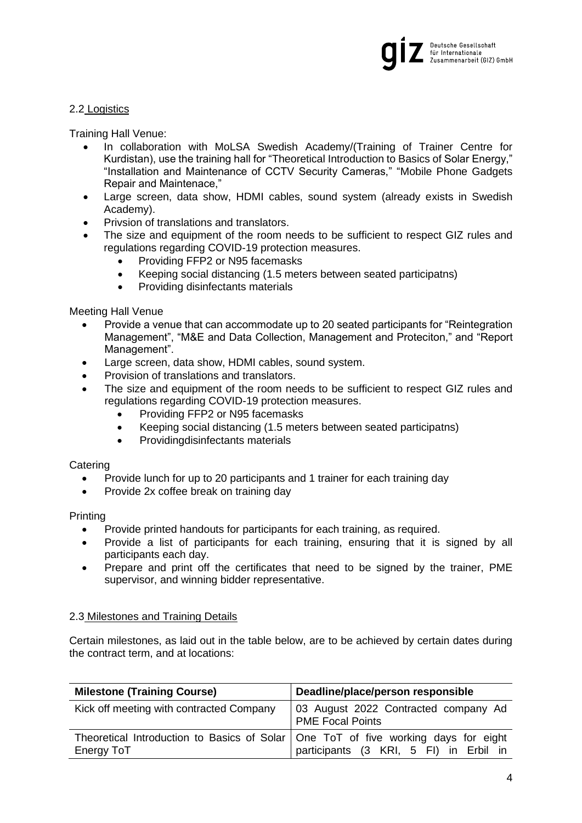

### 2.2 Logistics

Training Hall Venue:

- In collaboration with MoLSA Swedish Academy/(Training of Trainer Centre for Kurdistan), use the training hall for "Theoretical Introduction to Basics of Solar Energy," "Installation and Maintenance of CCTV Security Cameras," "Mobile Phone Gadgets Repair and Maintenace,"
- Large screen, data show, HDMI cables, sound system (already exists in Swedish Academy).
- Privsion of translations and translators.
- The size and equipment of the room needs to be sufficient to respect GIZ rules and regulations regarding COVID-19 protection measures.
	- Providing FFP2 or N95 facemasks
	- Keeping social distancing (1.5 meters between seated participatns)
	- Providing disinfectants materials

Meeting Hall Venue

- Provide a venue that can accommodate up to 20 seated participants for "Reintegration Management", "M&E and Data Collection, Management and Proteciton," and "Report Management".
- Large screen, data show, HDMI cables, sound system.
- Provision of translations and translators.
- The size and equipment of the room needs to be sufficient to respect GIZ rules and regulations regarding COVID-19 protection measures.
	- Providing FFP2 or N95 facemasks
	- Keeping social distancing (1.5 meters between seated participatns)
	- Providingdisinfectants materials

#### **Catering**

- Provide lunch for up to 20 participants and 1 trainer for each training day
- Provide 2x coffee break on training day

**Printing** 

- Provide printed handouts for participants for each training, as required.
- Provide a list of participants for each training, ensuring that it is signed by all participants each day.
- Prepare and print off the certificates that need to be signed by the trainer, PME supervisor, and winning bidder representative.

# 2.3 Milestones and Training Details

Certain milestones, as laid out in the table below, are to be achieved by certain dates during the contract term, and at locations:

| <b>Milestone (Training Course)</b>       | Deadline/place/person responsible                                                                                              |
|------------------------------------------|--------------------------------------------------------------------------------------------------------------------------------|
| Kick off meeting with contracted Company | 03 August 2022 Contracted company Ad<br><b>PME Focal Points</b>                                                                |
| Energy ToT                               | Theoretical Introduction to Basics of Solar   One ToT of five working days for eight<br>participants (3 KRI, 5 FI) in Erbil in |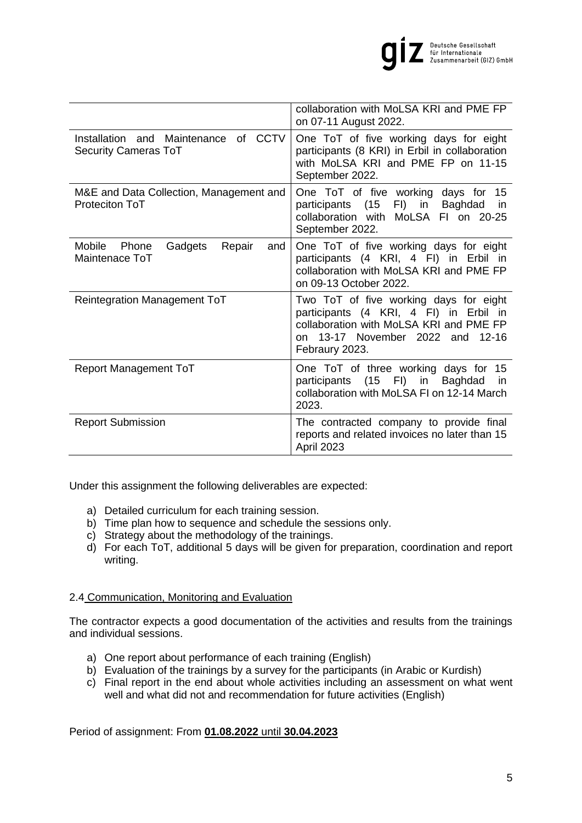

|                                                                        | collaboration with MoLSA KRI and PME FP<br>on 07-11 August 2022.                                                                                                                     |
|------------------------------------------------------------------------|--------------------------------------------------------------------------------------------------------------------------------------------------------------------------------------|
| of CCTV<br>Installation and Maintenance<br><b>Security Cameras ToT</b> | One ToT of five working days for eight<br>participants (8 KRI) in Erbil in collaboration<br>with MoLSA KRI and PME FP on 11-15<br>September 2022.                                    |
| M&E and Data Collection, Management and<br>Proteciton ToT              | One ToT of five working<br>days for<br>15<br>FI)<br>(15)<br>in<br>Baghdad<br>participants<br>in<br>collaboration with MoLSA FI on 20-25<br>September 2022.                           |
| Mobile<br>Gadgets<br>Repair<br>Phone<br>and<br>Maintenace ToT          | One ToT of five working days for eight<br>participants (4 KRI, 4 FI) in Erbil in<br>collaboration with MoLSA KRI and PME FP<br>on 09-13 October 2022.                                |
| <b>Reintegration Management ToT</b>                                    | Two ToT of five working days for eight<br>participants (4 KRI, 4 FI) in Erbil in<br>collaboration with MoLSA KRI and PME FP<br>13-17 November 2022 and 12-16<br>on<br>Febraury 2023. |
| <b>Report Management ToT</b>                                           | One ToT of three working days for 15<br>participants (15 FI) in<br>Baghdad<br>in<br>collaboration with MoLSA FI on 12-14 March<br>2023.                                              |
| <b>Report Submission</b>                                               | The contracted company to provide final<br>reports and related invoices no later than 15<br>April 2023                                                                               |

Under this assignment the following deliverables are expected:

- a) Detailed curriculum for each training session.
- b) Time plan how to sequence and schedule the sessions only.
- c) Strategy about the methodology of the trainings.
- d) For each ToT, additional 5 days will be given for preparation, coordination and report writing.

# 2.4 Communication, Monitoring and Evaluation

The contractor expects a good documentation of the activities and results from the trainings and individual sessions.

- a) One report about performance of each training (English)
- b) Evaluation of the trainings by a survey for the participants (in Arabic or Kurdish)
- c) Final report in the end about whole activities including an assessment on what went well and what did not and recommendation for future activities (English)

Period of assignment: From **01.08.2022** until **30.04.2023**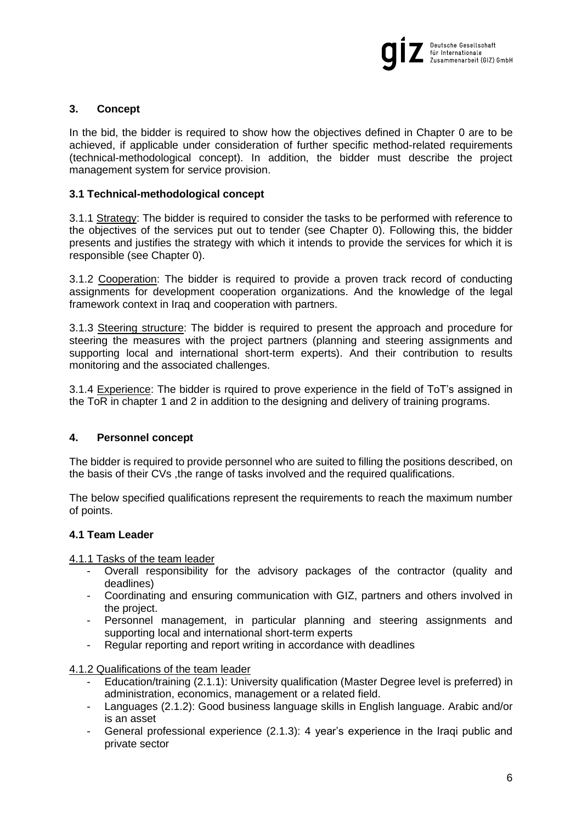

# <span id="page-5-1"></span>**3. Concept**

In the bid, the bidder is required to show how the objectives defined in Chapter [0](#page-2-1) are to be achieved, if applicable under consideration of further specific method-related requirements (technical-methodological concept). In addition, the bidder must describe the project management system for service provision.

### <span id="page-5-0"></span>**3.1 Technical-methodological concept**

3.1.1 Strategy: The bidder is required to consider the tasks to be performed with reference to the objectives of the services put out to tender (see Chapter [0\)](#page-1-1). Following this, the bidder presents and justifies the strategy with which it intends to provide the services for which it is responsible (see Chapter [0\)](#page-2-1).

3.1.2 Cooperation: The bidder is required to provide a proven track record of conducting assignments for development cooperation organizations. And the knowledge of the legal framework context in Iraq and cooperation with partners.

3.1.3 Steering structure: The bidder is required to present the approach and procedure for steering the measures with the project partners (planning and steering assignments and supporting local and international short-term experts). And their contribution to results monitoring and the associated challenges.

3.1.4 Experience: The bidder is rquired to prove experience in the field of ToT's assigned in the ToR in chapter 1 and 2 in addition to the designing and delivery of training programs.

# <span id="page-5-2"></span>**4. Personnel concept**

The bidder is required to provide personnel who are suited to filling the positions described, on the basis of their CVs ,the range of tasks involved and the required qualifications.

The below specified qualifications represent the requirements to reach the maximum number of points.

#### <span id="page-5-3"></span>**4.1 Team Leader**

4.1.1 Tasks of the team leader

- Overall responsibility for the advisory packages of the contractor (quality and deadlines)
- Coordinating and ensuring communication with GIZ, partners and others involved in the project.
- Personnel management, in particular planning and steering assignments and supporting local and international short-term experts
- Regular reporting and report writing in accordance with deadlines

4.1.2 Qualifications of the team leader

- Education/training (2.1.1): University qualification (Master Degree level is preferred) in administration, economics, management or a related field.
- Languages (2.1.2): Good business language skills in English language. Arabic and/or is an asset
- General professional experience (2.1.3): 4 year's experience in the Iraqi public and private sector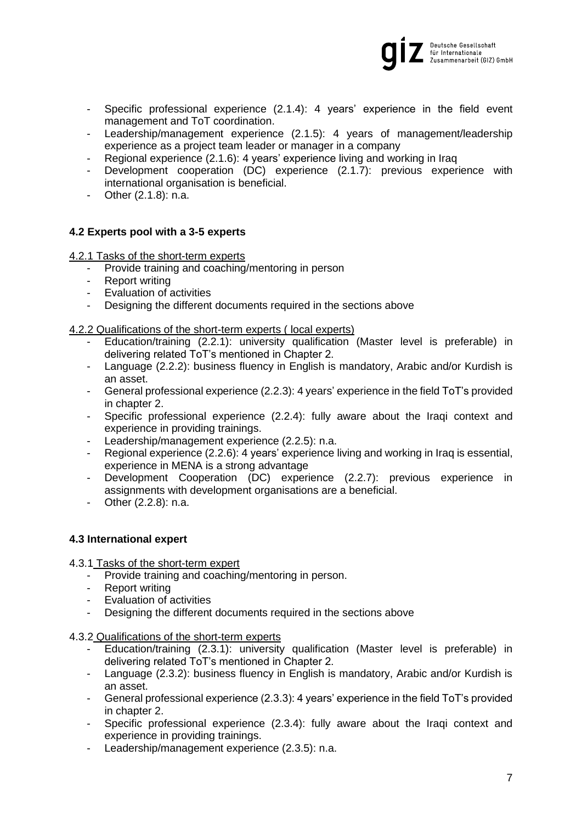

- Specific professional experience (2.1.4): 4 years' experience in the field event management and ToT coordination.
- Leadership/management experience (2.1.5): 4 years of management/leadership experience as a project team leader or manager in a company
- Regional experience (2.1.6): 4 years' experience living and working in Iraq
- Development cooperation (DC) experience (2.1.7): previous experience with international organisation is beneficial.
- Other (2.1.8): n.a.

#### <span id="page-6-0"></span>**4.2 Experts pool with a 3-5 experts**

4.2.1 Tasks of the short-term experts

- Provide training and coaching/mentoring in person
- Report writing
- Evaluation of activities
- Designing the different documents required in the sections above

4.2.2 Qualifications of the short-term experts ( local experts)

- Education/training (2.2.1): university qualification (Master level is preferable) in delivering related ToT's mentioned in Chapter 2.
- Language (2.2.2): business fluency in English is mandatory, Arabic and/or Kurdish is an asset.
- General professional experience (2.2.3): 4 years' experience in the field ToT's provided in chapter 2.
- Specific professional experience (2.2.4): fully aware about the Iraqi context and experience in providing trainings.
- Leadership/management experience (2.2.5): n.a.
- Regional experience (2.2.6): 4 years' experience living and working in Iraq is essential, experience in MENA is a strong advantage
- Development Cooperation (DC) experience (2.2.7): previous experience in assignments with development organisations are a beneficial.
- Other (2.2.8): n.a.

#### **4.3 International expert**

- 4.3.1 Tasks of the short-term expert
	- Provide training and coaching/mentoring in person.
	- Report writing
	- Evaluation of activities
	- Designing the different documents required in the sections above
- 4.3.2 Qualifications of the short-term experts
	- Education/training (2.3.1): university qualification (Master level is preferable) in delivering related ToT's mentioned in Chapter 2.
	- Language (2.3.2): business fluency in English is mandatory, Arabic and/or Kurdish is an asset.
	- General professional experience (2.3.3): 4 years' experience in the field ToT's provided in chapter 2.
	- Specific professional experience (2.3.4): fully aware about the Iraqi context and experience in providing trainings.
	- Leadership/management experience (2.3.5): n.a.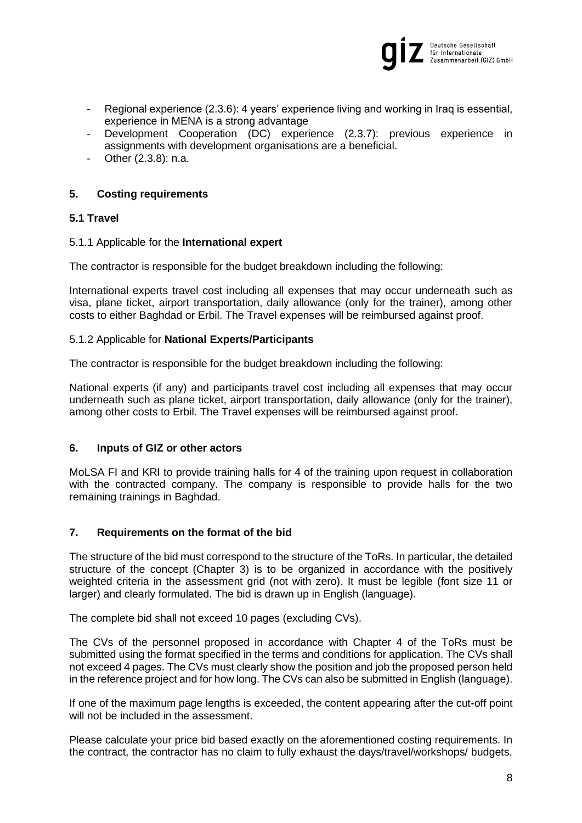

- Regional experience (2.3.6): 4 years' experience living and working in Iraq is essential, experience in MENA is a strong advantage
- Development Cooperation (DC) experience (2.3.7): previous experience in assignments with development organisations are a beneficial.
- Other (2.3.8): n.a.

# <span id="page-7-0"></span>**5. Costing requirements**

# **5.1 Travel**

#### 5.1.1 Applicable for the **International expert**

The contractor is responsible for the budget breakdown including the following:

International experts travel cost including all expenses that may occur underneath such as visa, plane ticket, airport transportation, daily allowance (only for the trainer), among other costs to either Baghdad or Erbil. The Travel expenses will be reimbursed against proof.

#### 5.1.2 Applicable for **National Experts/Participants**

The contractor is responsible for the budget breakdown including the following:

National experts (if any) and participants travel cost including all expenses that may occur underneath such as plane ticket, airport transportation, daily allowance (only for the trainer), among other costs to Erbil. The Travel expenses will be reimbursed against proof.

#### <span id="page-7-1"></span>**6. Inputs of GIZ or other actors**

MoLSA FI and KRI to provide training halls for 4 of the training upon request in collaboration with the contracted company. The company is responsible to provide halls for the two remaining trainings in Baghdad.

# <span id="page-7-2"></span>**7. Requirements on the format of the bid**

The structure of the bid must correspond to the structure of the ToRs. In particular, the detailed structure of the concept (Chapter 3) is to be organized in accordance with the positively weighted criteria in the assessment grid (not with zero). It must be legible (font size 11 or larger) and clearly formulated. The bid is drawn up in English (language).

The complete bid shall not exceed 10 pages (excluding CVs).

The CVs of the personnel proposed in accordance with Chapter [4](#page-5-2) of the ToRs must be submitted using the format specified in the terms and conditions for application. The CVs shall not exceed 4 pages. The CVs must clearly show the position and job the proposed person held in the reference project and for how long. The CVs can also be submitted in English (language).

If one of the maximum page lengths is exceeded, the content appearing after the cut-off point will not be included in the assessment.

Please calculate your price bid based exactly on the aforementioned costing requirements. In the contract, the contractor has no claim to fully exhaust the days/travel/workshops/ budgets.